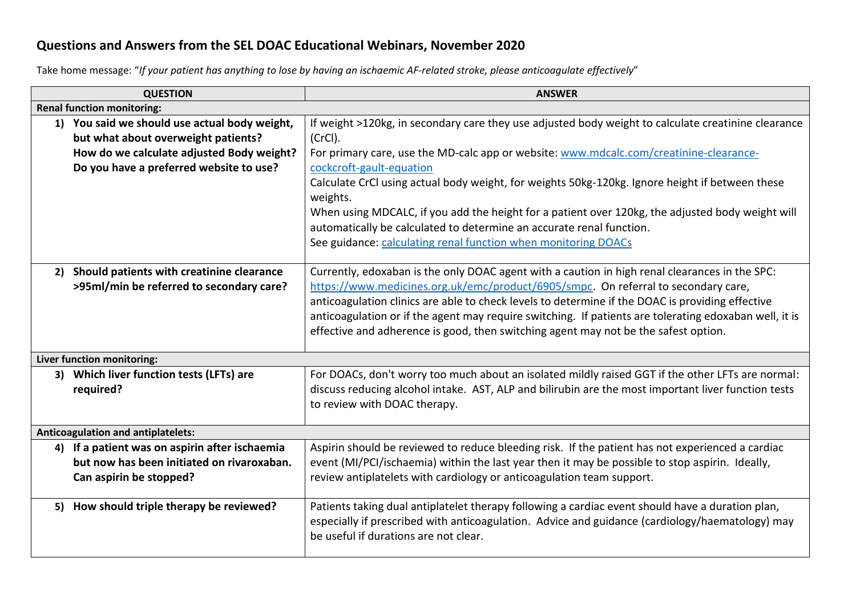## **Questions and Answers from the SEL DOAC Educational Webinars, November 2020**

Take home message: "*If your patient has anything to lose by having an ischaemic AF-related stroke, please anticoagulate effectively*"

| <b>QUESTION</b>                           |                                                                                                                                   | <b>ANSWER</b>                                                                                                                                                                                                                                                                                                                                                                                                                                                                             |  |  |  |  |
|-------------------------------------------|-----------------------------------------------------------------------------------------------------------------------------------|-------------------------------------------------------------------------------------------------------------------------------------------------------------------------------------------------------------------------------------------------------------------------------------------------------------------------------------------------------------------------------------------------------------------------------------------------------------------------------------------|--|--|--|--|
|                                           | <b>Renal function monitoring:</b>                                                                                                 |                                                                                                                                                                                                                                                                                                                                                                                                                                                                                           |  |  |  |  |
|                                           | 1) You said we should use actual body weight,<br>but what about overweight patients?<br>How do we calculate adjusted Body weight? | If weight >120kg, in secondary care they use adjusted body weight to calculate creatinine clearance<br>(CrCl).<br>For primary care, use the MD-calc app or website: www.mdcalc.com/creatinine-clearance-                                                                                                                                                                                                                                                                                  |  |  |  |  |
|                                           | Do you have a preferred website to use?                                                                                           | cockcroft-gault-equation<br>Calculate CrCl using actual body weight, for weights 50kg-120kg. Ignore height if between these<br>weights.<br>When using MDCALC, if you add the height for a patient over 120kg, the adjusted body weight will<br>automatically be calculated to determine an accurate renal function.<br>See guidance: calculating renal function when monitoring DOACs                                                                                                     |  |  |  |  |
|                                           |                                                                                                                                   |                                                                                                                                                                                                                                                                                                                                                                                                                                                                                           |  |  |  |  |
|                                           | 2) Should patients with creatinine clearance<br>>95ml/min be referred to secondary care?                                          | Currently, edoxaban is the only DOAC agent with a caution in high renal clearances in the SPC:<br>https://www.medicines.org.uk/emc/product/6905/smpc. On referral to secondary care,<br>anticoagulation clinics are able to check levels to determine if the DOAC is providing effective<br>anticoagulation or if the agent may require switching. If patients are tolerating edoxaban well, it is<br>effective and adherence is good, then switching agent may not be the safest option. |  |  |  |  |
|                                           | Liver function monitoring:                                                                                                        |                                                                                                                                                                                                                                                                                                                                                                                                                                                                                           |  |  |  |  |
|                                           | 3) Which liver function tests (LFTs) are<br>required?                                                                             | For DOACs, don't worry too much about an isolated mildly raised GGT if the other LFTs are normal:<br>discuss reducing alcohol intake. AST, ALP and bilirubin are the most important liver function tests<br>to review with DOAC therapy.                                                                                                                                                                                                                                                  |  |  |  |  |
| <b>Anticoagulation and antiplatelets:</b> |                                                                                                                                   |                                                                                                                                                                                                                                                                                                                                                                                                                                                                                           |  |  |  |  |
|                                           | 4) If a patient was on aspirin after ischaemia<br>but now has been initiated on rivaroxaban.<br>Can aspirin be stopped?           | Aspirin should be reviewed to reduce bleeding risk. If the patient has not experienced a cardiac<br>event (MI/PCI/ischaemia) within the last year then it may be possible to stop aspirin. Ideally,<br>review antiplatelets with cardiology or anticoagulation team support.                                                                                                                                                                                                              |  |  |  |  |
|                                           | 5) How should triple therapy be reviewed?                                                                                         | Patients taking dual antiplatelet therapy following a cardiac event should have a duration plan,<br>especially if prescribed with anticoagulation. Advice and guidance (cardiology/haematology) may<br>be useful if durations are not clear.                                                                                                                                                                                                                                              |  |  |  |  |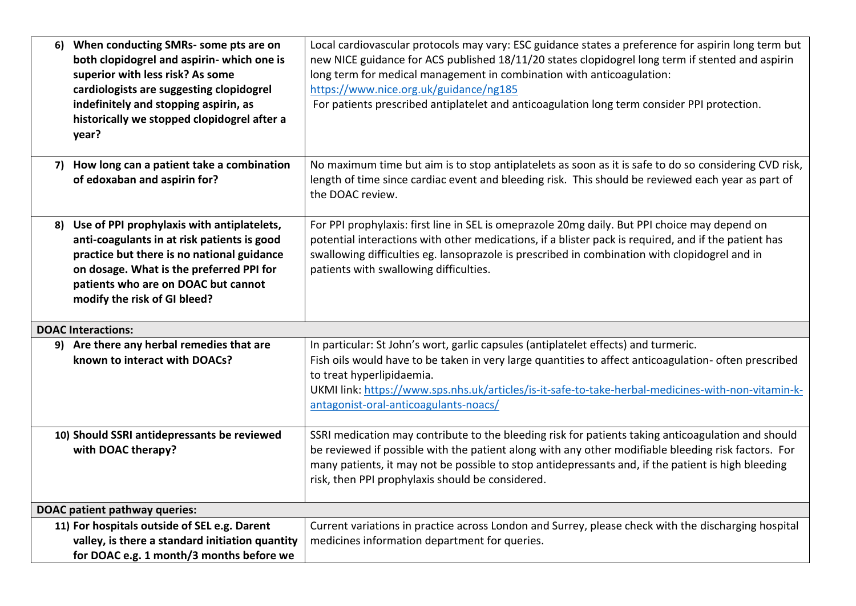|                                      | 6) When conducting SMRs- some pts are on<br>both clopidogrel and aspirin- which one is<br>superior with less risk? As some<br>cardiologists are suggesting clopidogrel<br>indefinitely and stopping aspirin, as<br>historically we stopped clopidogrel after a<br>year? | Local cardiovascular protocols may vary: ESC guidance states a preference for aspirin long term but<br>new NICE guidance for ACS published 18/11/20 states clopidogrel long term if stented and aspirin<br>long term for medical management in combination with anticoagulation:<br>https://www.nice.org.uk/guidance/ng185<br>For patients prescribed antiplatelet and anticoagulation long term consider PPI protection. |  |  |
|--------------------------------------|-------------------------------------------------------------------------------------------------------------------------------------------------------------------------------------------------------------------------------------------------------------------------|---------------------------------------------------------------------------------------------------------------------------------------------------------------------------------------------------------------------------------------------------------------------------------------------------------------------------------------------------------------------------------------------------------------------------|--|--|
|                                      | 7) How long can a patient take a combination<br>of edoxaban and aspirin for?                                                                                                                                                                                            | No maximum time but aim is to stop antiplatelets as soon as it is safe to do so considering CVD risk,<br>length of time since cardiac event and bleeding risk. This should be reviewed each year as part of<br>the DOAC review.                                                                                                                                                                                           |  |  |
|                                      | 8) Use of PPI prophylaxis with antiplatelets,<br>anti-coagulants in at risk patients is good<br>practice but there is no national guidance<br>on dosage. What is the preferred PPI for<br>patients who are on DOAC but cannot<br>modify the risk of GI bleed?           | For PPI prophylaxis: first line in SEL is omeprazole 20mg daily. But PPI choice may depend on<br>potential interactions with other medications, if a blister pack is required, and if the patient has<br>swallowing difficulties eg. lansoprazole is prescribed in combination with clopidogrel and in<br>patients with swallowing difficulties.                                                                          |  |  |
|                                      | <b>DOAC Interactions:</b>                                                                                                                                                                                                                                               |                                                                                                                                                                                                                                                                                                                                                                                                                           |  |  |
|                                      | 9) Are there any herbal remedies that are<br>known to interact with DOACs?                                                                                                                                                                                              | In particular: St John's wort, garlic capsules (antiplatelet effects) and turmeric.<br>Fish oils would have to be taken in very large quantities to affect anticoagulation- often prescribed<br>to treat hyperlipidaemia.<br>UKMI link: https://www.sps.nhs.uk/articles/is-it-safe-to-take-herbal-medicines-with-non-vitamin-k-<br>antagonist-oral-anticoagulants-noacs/                                                  |  |  |
|                                      | 10) Should SSRI antidepressants be reviewed<br>with DOAC therapy?                                                                                                                                                                                                       | SSRI medication may contribute to the bleeding risk for patients taking anticoagulation and should<br>be reviewed if possible with the patient along with any other modifiable bleeding risk factors. For<br>many patients, it may not be possible to stop antidepressants and, if the patient is high bleeding<br>risk, then PPI prophylaxis should be considered.                                                       |  |  |
| <b>DOAC patient pathway queries:</b> |                                                                                                                                                                                                                                                                         |                                                                                                                                                                                                                                                                                                                                                                                                                           |  |  |
|                                      | 11) For hospitals outside of SEL e.g. Darent                                                                                                                                                                                                                            | Current variations in practice across London and Surrey, please check with the discharging hospital                                                                                                                                                                                                                                                                                                                       |  |  |
|                                      | valley, is there a standard initiation quantity                                                                                                                                                                                                                         | medicines information department for queries.                                                                                                                                                                                                                                                                                                                                                                             |  |  |
|                                      | for DOAC e.g. 1 month/3 months before we                                                                                                                                                                                                                                |                                                                                                                                                                                                                                                                                                                                                                                                                           |  |  |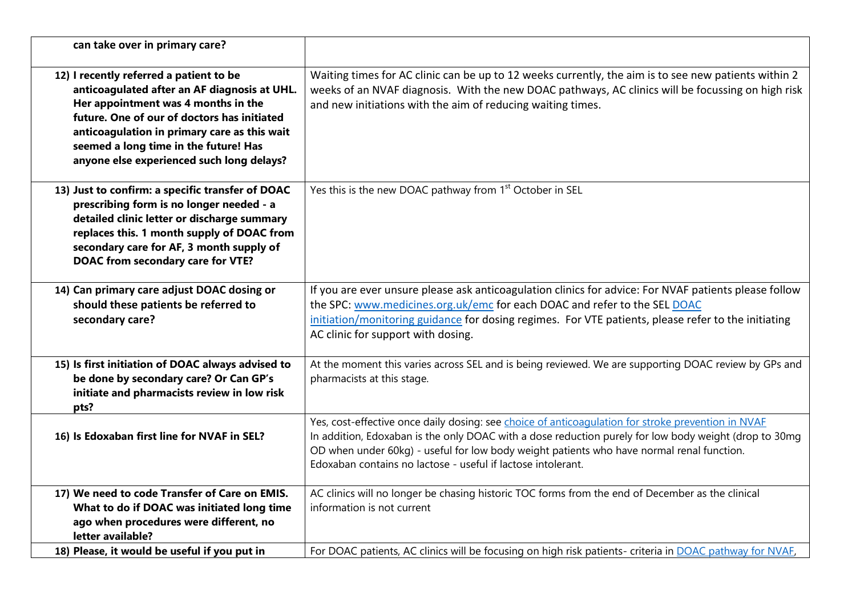| can take over in primary care?                                                                                                                                                                                                                                                                                      |                                                                                                                                                                                                                                                                                                                                                                          |
|---------------------------------------------------------------------------------------------------------------------------------------------------------------------------------------------------------------------------------------------------------------------------------------------------------------------|--------------------------------------------------------------------------------------------------------------------------------------------------------------------------------------------------------------------------------------------------------------------------------------------------------------------------------------------------------------------------|
| 12) I recently referred a patient to be<br>anticoagulated after an AF diagnosis at UHL.<br>Her appointment was 4 months in the<br>future. One of our of doctors has initiated<br>anticoagulation in primary care as this wait<br>seemed a long time in the future! Has<br>anyone else experienced such long delays? | Waiting times for AC clinic can be up to 12 weeks currently, the aim is to see new patients within 2<br>weeks of an NVAF diagnosis. With the new DOAC pathways, AC clinics will be focussing on high risk<br>and new initiations with the aim of reducing waiting times.                                                                                                 |
| 13) Just to confirm: a specific transfer of DOAC<br>prescribing form is no longer needed - a<br>detailed clinic letter or discharge summary<br>replaces this. 1 month supply of DOAC from<br>secondary care for AF, 3 month supply of<br>DOAC from secondary care for VTE?                                          | Yes this is the new DOAC pathway from 1 <sup>st</sup> October in SEL                                                                                                                                                                                                                                                                                                     |
| 14) Can primary care adjust DOAC dosing or<br>should these patients be referred to<br>secondary care?                                                                                                                                                                                                               | If you are ever unsure please ask anticoagulation clinics for advice: For NVAF patients please follow<br>the SPC: www.medicines.org.uk/emc for each DOAC and refer to the SEL DOAC<br>initiation/monitoring guidance for dosing regimes. For VTE patients, please refer to the initiating<br>AC clinic for support with dosing.                                          |
| 15) Is first initiation of DOAC always advised to<br>be done by secondary care? Or Can GP's<br>initiate and pharmacists review in low risk<br>pts?                                                                                                                                                                  | At the moment this varies across SEL and is being reviewed. We are supporting DOAC review by GPs and<br>pharmacists at this stage.                                                                                                                                                                                                                                       |
| 16) Is Edoxaban first line for NVAF in SEL?                                                                                                                                                                                                                                                                         | Yes, cost-effective once daily dosing: see choice of anticoagulation for stroke prevention in NVAF<br>In addition, Edoxaban is the only DOAC with a dose reduction purely for low body weight (drop to 30mg<br>OD when under 60kg) - useful for low body weight patients who have normal renal function.<br>Edoxaban contains no lactose - useful if lactose intolerant. |
| 17) We need to code Transfer of Care on EMIS.<br>What to do if DOAC was initiated long time<br>ago when procedures were different, no<br>letter available?                                                                                                                                                          | AC clinics will no longer be chasing historic TOC forms from the end of December as the clinical<br>information is not current                                                                                                                                                                                                                                           |
| 18) Please, it would be useful if you put in                                                                                                                                                                                                                                                                        | For DOAC patients, AC clinics will be focusing on high risk patients- criteria in DOAC pathway for NVAF,                                                                                                                                                                                                                                                                 |